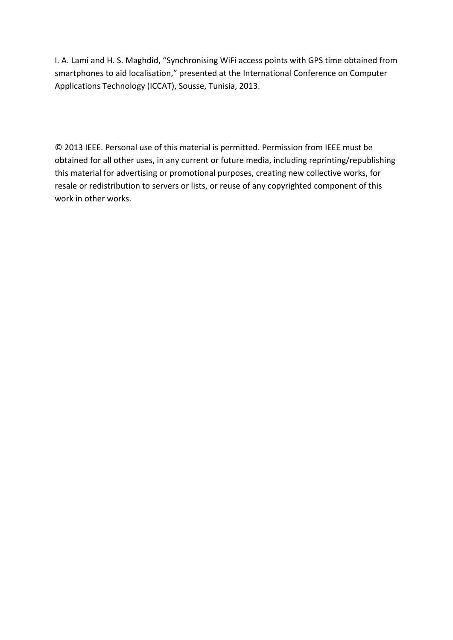I. A. Lami and H. S. Maghdid, "Synchronising WiFi access points with GPS time obtained from smartphones to aid localisation," presented at the International Conference on Computer Applications Technology (ICCAT), Sousse, Tunisia, 2013.

© 2013 IEEE. Personal use of this material is permitted. Permission from IEEE must be obtained for all other uses, in any current or future media, including reprinting/republishing this material for advertising or promotional purposes, creating new collective works, for resale or redistribution to servers or lists, or reuse of any copyrighted component of this work in other works.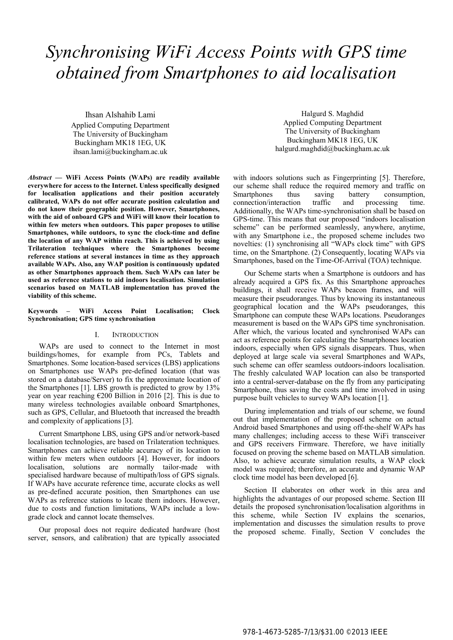# *Synchronising WiFi Access Points with GPS time obtained from Smartphones to aid localisation*

Ihsan Alshahib Lami

Applied Computing Department The University of Buckingham Buckingham MK18 1EG, UK ihsan.lami@buckingham.ac.uk

*Abstract* **— WiFi Access Points (WAPs) are readily available everywhere for access to the Internet. Unless specifically designed for localisation applications and their position accurately calibrated, WAPs do not offer accurate position calculation and do not know their geographic position. However, Smartphones, with the aid of onboard GPS and WiFi will know their location to within few meters when outdoors. This paper proposes to utilise Smartphones, while outdoors, to sync the clock-time and define the location of any WAP within reach. This is achieved by using Trilateration techniques where the Smartphones become reference stations at several instances in time as they approach available WAPs. Also, any WAP position is continuously updated as other Smartphones approach them. Such WAPs can later be used as reference stations to aid indoors localisation. Simulation scenarios based on MATLAB implementation has proved the viability of this scheme.**

**Keywords – WiFi Access Point Localisation; Clock Synchronisation; GPS time synchronisation** 

## I. INTRODUCTION

WAPs are used to connect to the Internet in most buildings/homes, for example from PCs, Tablets and Smartphones. Some location-based services (LBS) applications on Smartphones use WAPs pre-defined location (that was stored on a database/Server) to fix the approximate location of the Smartphones [1]. LBS growth is predicted to grow by 13% year on year reaching  $\epsilon$ 200 Billion in 2016 [2]. This is due to many wireless technologies available onboard Smartphones, such as GPS, Cellular, and Bluetooth that increased the breadth and complexity of applications [3].

Current Smartphone LBS, using GPS and/or network-based localisation technologies, are based on Trilateration techniques. Smartphones can achieve reliable accuracy of its location to within few meters when outdoors [4]. However, for indoors localisation, solutions are normally tailor-made with specialised hardware because of multipath/loss of GPS signals. If WAPs have accurate reference time, accurate clocks as well as pre-defined accurate position, then Smartphones can use WAPs as reference stations to locate them indoors. However, due to costs and function limitations, WAPs include a lowgrade clock and cannot locate themselves.

Our proposal does not require dedicated hardware (host server, sensors, and calibration) that are typically associated

Halgurd S. Maghdid Applied Computing Department The University of Buckingham Buckingham MK18 1EG, UK halgurd.maghdid@buckingham.ac.uk

with indoors solutions such as Fingerprinting [5]. Therefore, our scheme shall reduce the required memory and traffic on Smartphones thus saving battery consumption, connection/interaction traffic and processing time. Additionally, the WAPs time-synchronisation shall be based on GPS-time. This means that our proposed "indoors localisation scheme" can be performed seamlessly, anywhere, anytime, with any Smartphone i.e., the proposed scheme includes two novelties: (1) synchronising all "WAPs clock time" with GPS time, on the Smartphone. (2) Consequently, locating WAPs via Smartphones, based on the Time-Of-Arrival (TOA) technique.

Our Scheme starts when a Smartphone is outdoors and has already acquired a GPS fix. As this Smartphone approaches buildings, it shall receive WAPs beacon frames, and will measure their pseudoranges. Thus by knowing its instantaneous geographical location and the WAPs pseudoranges, this Smartphone can compute these WAPs locations. Pseudoranges measurement is based on the WAPs GPS time synchronisation. After which, the various located and synchronised WAPs can act as reference points for calculating the Smartphones location indoors, especially when GPS signals disappears. Thus, when deployed at large scale via several Smartphones and WAPs, such scheme can offer seamless outdoors-indoors localisation. The freshly calculated WAP location can also be transported into a central-server-database on the fly from any participating Smartphone, thus saving the costs and time involved in using purpose built vehicles to survey WAPs location [1].

During implementation and trials of our scheme, we found out that implementation of the proposed scheme on actual Android based Smartphones and using off-the-shelf WAPs has many challenges; including access to these WiFi transceiver and GPS receivers Firmware. Therefore, we have initially focused on proving the scheme based on MATLAB simulation. Also, to achieve accurate simulation results, a WAP clock model was required; therefore, an accurate and dynamic WAP clock time model has been developed [6].

Section II elaborates on other work in this area and highlights the advantages of our proposed scheme. Section III details the proposed synchronisation/localisation algorithms in this scheme, while Section IV explains the scenarios, implementation and discusses the simulation results to prove the proposed scheme. Finally, Section V concludes the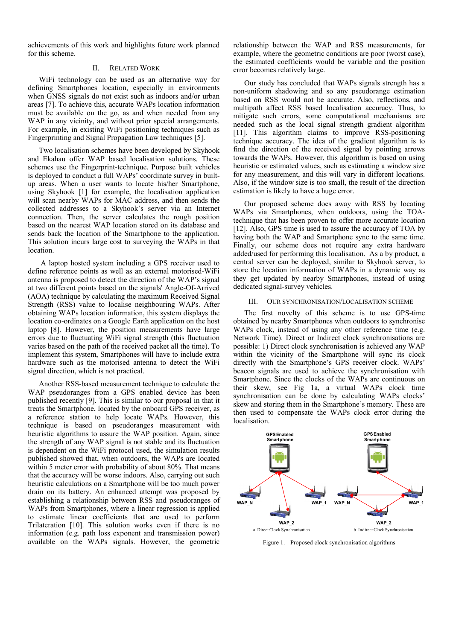achievements of this work and highlights future work planned for this scheme.

# II. RELATED WORK

WiFi technology can be used as an alternative way for defining Smartphones location, especially in environments when GNSS signals do not exist such as indoors and/or urban areas [7]. To achieve this, accurate WAPs location information must be available on the go, as and when needed from any WAP in any vicinity, and without prior special arrangements. For example, in existing WiFi positioning techniques such as Fingerprinting and Signal Propagation Law techniques [5].

Two localisation schemes have been developed by Skyhook and Ekahau offer WAP based localisation solutions. These schemes use the Fingerprint-technique. Purpose built vehicles is deployed to conduct a full WAPs' coordinate survey in builtup areas. When a user wants to locate his/her Smartphone, using Skyhook [1] for example, the localisation application will scan nearby WAPs for MAC address, and then sends the collected addresses to a Skyhook's server via an Internet connection. Then, the server calculates the rough position based on the nearest WAP location stored on its database and sends back the location of the Smartphone to the application. This solution incurs large cost to surveying the WAPs in that location.

 A laptop hosted system including a GPS receiver used to define reference points as well as an external motorised-WiFi antenna is proposed to detect the direction of the WAP's signal at two different points based on the signals' Angle-Of-Arrived (AOA) technique by calculating the maximum Received Signal Strength (RSS) value to localise neighbouring WAPs. After obtaining WAPs location information, this system displays the location co-ordinates on a Google Earth application on the host laptop [8]. However, the position measurements have large errors due to fluctuating WiFi signal strength (this fluctuation varies based on the path of the received packet all the time). To implement this system, Smartphones will have to include extra hardware such as the motorised antenna to detect the WiFi signal direction, which is not practical.

Another RSS-based measurement technique to calculate the WAP pseudoranges from a GPS enabled device has been published recently [9]. This is similar to our proposal in that it treats the Smartphone, located by the onboard GPS receiver, as a reference station to help locate WAPs. However, this technique is based on pseudoranges measurement with heuristic algorithms to assure the WAP position. Again, since the strength of any WAP signal is not stable and its fluctuation is dependent on the WiFi protocol used, the simulation results published showed that, when outdoors, the WAPs are located within 5 meter error with probability of about 80%. That means that the accuracy will be worse indoors. Also, carrying out such heuristic calculations on a Smartphone will be too much power drain on its battery. An enhanced attempt was proposed by establishing a relationship between RSS and pseudoranges of WAPs from Smartphones, where a linear regression is applied to estimate linear coefficients that are used to perform Trilateration [10]. This solution works even if there is no information (e.g. path loss exponent and transmission power) available on the WAPs signals. However, the geometric

relationship between the WAP and RSS measurements, for example, where the geometric conditions are poor (worst case), the estimated coefficients would be variable and the position error becomes relatively large.

Our study has concluded that WAPs signals strength has a non-uniform shadowing and so any pseudorange estimation based on RSS would not be accurate. Also, reflections, and multipath affect RSS based localisation accuracy. Thus, to mitigate such errors, some computational mechanisms are needed such as the local signal strength gradient algorithm [11]. This algorithm claims to improve RSS-positioning technique accuracy. The idea of the gradient algorithm is to find the direction of the received signal by pointing arrows towards the WAPs. However, this algorithm is based on using heuristic or estimated values, such as estimating a window size for any measurement, and this will vary in different locations. Also, if the window size is too small, the result of the direction estimation is likely to have a huge error.

Our proposed scheme does away with RSS by locating WAPs via Smartphones, when outdoors, using the TOAtechnique that has been proven to offer more accurate location [12]. Also, GPS time is used to assure the accuracy of TOA by having both the WAP and Smartphone sync to the same time. Finally, our scheme does not require any extra hardware added/used for performing this localisation. As a by product, a central server can be deployed, similar to Skyhook server, to store the location information of WAPs in a dynamic way as they get updated by nearby Smartphones, instead of using dedicated signal-survey vehicles.

## III. OUR SYNCHRONISATION/LOCALISATION SCHEME

The first novelty of this scheme is to use GPS-time obtained by nearby Smartphones when outdoors to synchronise WAPs clock, instead of using any other reference time (e.g. Network Time). Direct or Indirect clock synchronisations are possible: 1) Direct clock synchronisation is achieved any WAP within the vicinity of the Smartphone will sync its clock directly with the Smartphone's GPS receiver clock. WAPs' beacon signals are used to achieve the synchronisation with Smartphone. Since the clocks of the WAPs are continuous on their skew, see Fig 1a, a virtual WAPs clock time synchronisation can be done by calculating WAPs clocks' skew and storing them in the Smartphone's memory. These are then used to compensate the WAPs clock error during the localisation.



Figure 1. Proposed clock synchronisation algorithms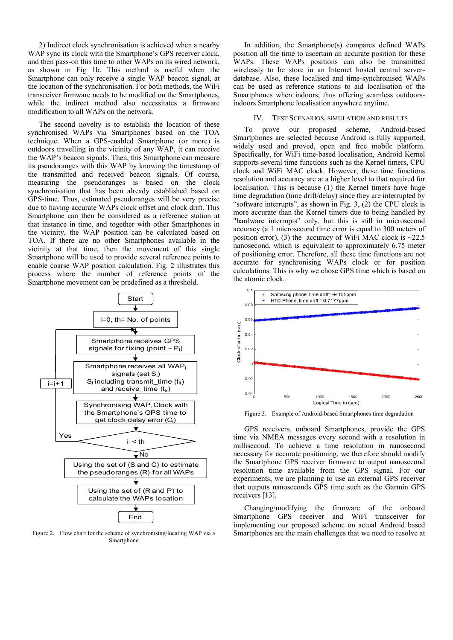2) Indirect clock synchronisation is achieved when a nearby WAP sync its clock with the Smartphone's GPS receiver clock, and then pass-on this time to other WAPs on its wired network, as shown in Fig 1b. This method is useful when the Smartphone can only receive a single WAP beacon signal, at the location of the synchronisation. For both methods, the WiFi transceiver firmware needs to be modified on the Smartphones, while the indirect method also necessitates a firmware modification to all WAPs on the network.

The second novelty is to establish the location of these synchronised WAPs via Smartphones based on the TOA technique. When a GPS-enabled Smartphone (or more) is outdoors travelling in the vicinity of any WAP, it can receive the WAP's beacon signals. Then, this Smartphone can measure its pseudoranges with this WAP by knowing the timestamp of the transmitted and received beacon signals. Of course, measuring the pseudoranges is based on the clock synchronisation that has been already established based on GPS-time. Thus, estimated pseudoranges will be very precise due to having accurate WAPs clock offset and clock drift. This Smartphone can then be considered as a reference station at that instance in time, and together with other Smartphones in the vicinity, the WAP position can be calculated based on TOA. If there are no other Smartphones available in the vicinity at that time, then the movement of this single Smartphone will be used to provide several reference points to enable coarse WAP position calculation. Fig. 2 illustrates this process where the number of reference points of the Smartphone movement can be predefined as a threshold.



Figure 2. Flow chart for the scheme of synchronising/locating WAP via a Smartphone

In addition, the Smartphone(s) compares defined WAPs position all the time to ascertain an accurate position for these WAPs. These WAPs positions can also be transmitted wirelessly to be store in an Internet hosted central serverdatabase. Also, these localised and time-synchronised WAPs can be used as reference stations to aid localisation of the Smartphones when indoors; thus offering seamless outdoorsindoors Smartphone localisation anywhere anytime.

## IV. TEST SCENARIOS, SIMULATION AND RESULTS

To prove our proposed scheme, Android-based Smartphones are selected because Android is fully supported, widely used and proved, open and free mobile platform. Specifically, for WiFi time-based localisation, Android Kernel supports several time functions such as the Kernel timers, CPU clock and WiFi MAC clock. However, these time functions resolution and accuracy are at a higher level to that required for localisation. This is because (1) the Kernel timers have huge time degradation (time drift/delay) since they are interrupted by "software interrupts", as shown in Fig. 3, (2) the CPU clock is more accurate than the Kernel timers due to being handled by "hardware interrupts" only, but this is still in microsecond accuracy (a 1 microsecond time error is equal to 300 meters of position error), (3) the accuracy of WiFi MAC clock is  $\sim$ 22.5 nanosecond, which is equivalent to approximately 6.75 meter of positioning error. Therefore, all these time functions are not accurate for synchronising WAPs clock or for position calculations. This is why we chose GPS time which is based on the atomic clock.



Figure 3. Example of Android-based Smartphones time degradation

GPS receivers, onboard Smartphones, provide the GPS time via NMEA messages every second with a resolution in millisecond. To achieve a time resolution in nanosecond necessary for accurate positioning, we therefore should modify the Smartphone GPS receiver firmware to output nanosecond resolution time available from the GPS signal. For our experiments, we are planning to use an external GPS receiver that outputs nanoseconds GPS time such as the Garmin GPS receivers [13].

Changing/modifying the firmware of the onboard Smartphone GPS receiver and WiFi transceiver for implementing our proposed scheme on actual Android based Smartphones are the main challenges that we need to resolve at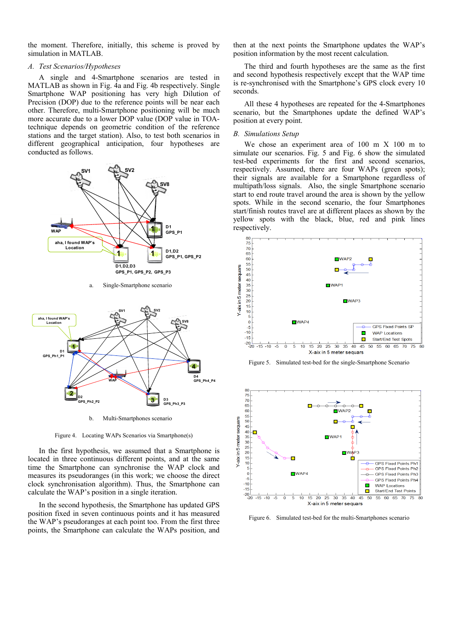the moment. Therefore, initially, this scheme is proved by simulation in MATLAB.

# *A. Test Scenarios/Hypotheses*

A single and 4-Smartphone scenarios are tested in MATLAB as shown in Fig. 4a and Fig. 4b respectively. Single Smartphone WAP positioning has very high Dilution of Precision (DOP) due to the reference points will be near each other. Therefore, multi-Smartphone positioning will be much more accurate due to a lower DOP value (DOP value in TOAtechnique depends on geometric condition of the reference stations and the target station). Also, to test both scenarios in different geographical anticipation, four hypotheses are conducted as follows.





b. Multi-Smartphones scenario

Figure 4. Locating WAPs Scenarios via Smartphone(s)

In the first hypothesis, we assumed that a Smartphone is located in three continuous different points, and at the same time the Smartphone can synchronise the WAP clock and measures its pseudoranges (in this work; we choose the direct clock synchronisation algorithm). Thus, the Smartphone can calculate the WAP's position in a single iteration.

In the second hypothesis, the Smartphone has updated GPS position fixed in seven continuous points and it has measured the WAP's pseudoranges at each point too. From the first three points, the Smartphone can calculate the WAPs position, and

then at the next points the Smartphone updates the WAP's position information by the most recent calculation.

The third and fourth hypotheses are the same as the first and second hypothesis respectively except that the WAP time is re-synchronised with the Smartphone's GPS clock every 10 seconds.

All these 4 hypotheses are repeated for the 4-Smartphones scenario, but the Smartphones update the defined WAP's position at every point.

#### *B. Simulations Setup*

We chose an experiment area of 100 m X 100 m to simulate our scenarios. Fig. 5 and Fig. 6 show the simulated test-bed experiments for the first and second scenarios, respectively. Assumed, there are four WAPs (green spots); their signals are available for a Smartphone regardless of multipath/loss signals. Also, the single Smartphone scenario start to end route travel around the area is shown by the yellow spots. While in the second scenario, the four Smartphones start/finish routes travel are at different places as shown by the yellow spots with the black, blue, red and pink lines respectively.



Figure 5. Simulated test-bed for the single-Smartphone Scenario



Figure 6. Simulated test-bed for the multi-Smartphones scenario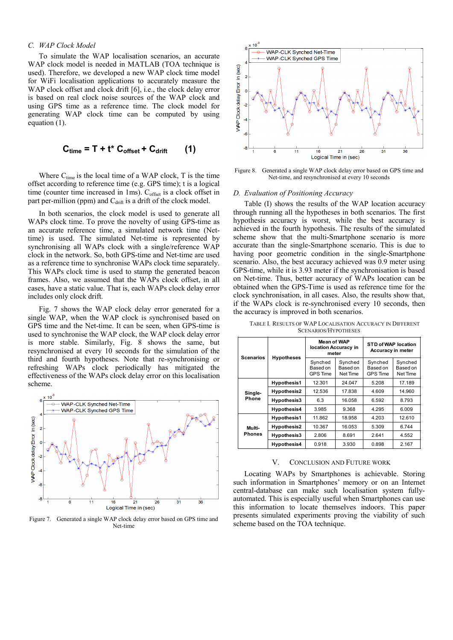# *C. WAP Clock Model*

To simulate the WAP localisation scenarios, an accurate WAP clock model is needed in MATLAB (TOA technique is used). Therefore, we developed a new WAP clock time model for WiFi localisation applications to accurately measure the WAP clock offset and clock drift [6], i.e., the clock delay error is based on real clock noise sources of the WAP clock and using GPS time as a reference time. The clock model for generating WAP clock time can be computed by using equation (1).

$$
C_{time} = T + t^* C_{offset} + C_{drift} \qquad (1)
$$

Where  $C_{time}$  is the local time of a WAP clock, T is the time offset according to reference time (e.g. GPS time); t is a logical time (counter time increased in 1ms). C<sub>offset</sub> is a clock offset in part per-million (ppm) and C<sub>drift</sub> is a drift of the clock model.

In both scenarios, the clock model is used to generate all WAPs clock time. To prove the novelty of using GPS-time as an accurate reference time, a simulated network time (Nettime) is used. The simulated Net-time is represented by synchronising all WAPs clock with a single/reference WAP clock in the network. So, both GPS-time and Net-time are used as a reference time to synchronise WAPs clock time separately. This WAPs clock time is used to stamp the generated beacon frames. Also, we assumed that the WAPs clock offset, in all cases, have a static value. That is, each WAPs clock delay error includes only clock drift.

Fig. 7 shows the WAP clock delay error generated for a single WAP, when the WAP clock is synchronised based on GPS time and the Net-time. It can be seen, when GPS-time is used to synchronise the WAP clock, the WAP clock delay error is more stable. Similarly, Fig. 8 shows the same, but resynchronised at every 10 seconds for the simulation of the third and fourth hypotheses. Note that re-synchronising or refreshing WAPs clock periodically has mitigated the effectiveness of the WAPs clock delay error on this localisation scheme.



Figure 7. Generated a single WAP clock delay error based on GPS time and Net-time



Figure 8. Generated a single WAP clock delay error based on GPS time and Net-time, and resynchronised at every 10 seconds

#### *D. Evaluation of Positioning Accuracy*

Table (I) shows the results of the WAP location accuracy through running all the hypotheses in both scenarios. The first hypothesis accuracy is worst, while the best accuracy is achieved in the fourth hypothesis. The results of the simulated scheme show that the multi-Smartphone scenario is more accurate than the single-Smartphone scenario. This is due to having poor geometric condition in the single-Smartphone scenario. Also, the best accuracy achieved was 0.9 meter using GPS-time, while it is 3.93 meter if the synchronisation is based on Net-time. Thus, better accuracy of WAPs location can be obtained when the GPS-Time is used as reference time for the clock synchronisation, in all cases. Also, the results show that, if the WAPs clock is re-synchronised every 10 seconds, then the accuracy is improved in both scenarios.

| TABLE I. RESULTS OF WAP LOCALISATION ACCURACY IN DIFFERENT |                      |  |  |
|------------------------------------------------------------|----------------------|--|--|
|                                                            | SCENARIOS/HYPOTHESES |  |  |

| <b>Scenarios</b> |                    | <b>Mean of WAP</b><br>location Accuracy in<br>meter |                                 | <b>STD of WAP location</b><br>Accuracy in meter |                                 |  |
|------------------|--------------------|-----------------------------------------------------|---------------------------------|-------------------------------------------------|---------------------------------|--|
|                  | <b>Hypotheses</b>  | Synched<br>Based on<br><b>GPS</b> Time              | Synched<br>Based on<br>Net Time | Synched<br>Based on<br><b>GPS Time</b>          | Synched<br>Based on<br>Net Time |  |
| Single-<br>Phone | <b>Hypothesis1</b> | 12.301                                              | 24.047                          | 5.208                                           | 17.189                          |  |
|                  | Hypothesis2        | 12.536                                              | 17.838                          | 4.609                                           | 14.960                          |  |
|                  | Hypothesis3        | 6.3                                                 | 16.058                          | 6.592                                           | 8.793                           |  |
|                  | <b>Hypothesis4</b> | 3.985                                               | 9.368                           | 4.295                                           | 6.009                           |  |
|                  | <b>Hypothesis1</b> | 11.862                                              | 18.958                          | 4.203                                           | 12.610                          |  |
| Multi-           | Hypothesis2        | 10.367                                              | 16.053                          | 5.309                                           | 6.744                           |  |
| <b>Phones</b>    | Hypothesis3        | 2.806                                               | 8.691                           | 2.641                                           | 4.552                           |  |
|                  | <b>Hypothesis4</b> | 0.918                                               | 3.930                           | 0.898                                           | 2.167                           |  |

#### V. CONCLUSION AND FUTURE WORK

Locating WAPs by Smartphones is achievable. Storing such information in Smartphones' memory or on an Internet central-database can make such localisation system fullyautomated. This is especially useful when Smartphones can use this information to locate themselves indoors. This paper presents simulated experiments proving the viability of such scheme based on the TOA technique.